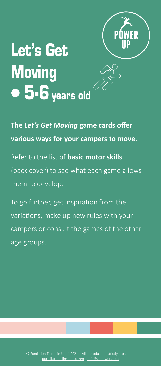

# Let's Get **Moving**  $\bullet$  5-6 years old

**The** *Let's Get Moving* **game cards offer various ways for your campers to move.** Refer to the list of **basic motor skills** (back cover) to see what each game allows them to develop.

To go further, get inspiration from the variations, make up new rules with your campers or consult the games of the other age groups.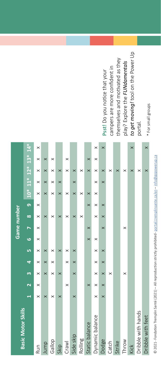| ł<br>l                |
|-----------------------|
|                       |
| ١<br>ׇ֓               |
| ï                     |
| I<br>l<br>I           |
| l                     |
|                       |
|                       |
| ï<br>j                |
|                       |
|                       |
|                       |
| l<br>۱                |
| j                     |
|                       |
| j<br>I                |
| ł<br>ï                |
|                       |
|                       |
| ł                     |
|                       |
|                       |
| j                     |
| ֕                     |
| Ï                     |
|                       |
|                       |
| i<br>i                |
|                       |
|                       |
| h                     |
| ł<br>١                |
| ï                     |
| j                     |
| ī<br>֬֕֕<br>I         |
| l<br>j<br>١           |
| ł<br>ï                |
| ŕ                     |
| I                     |
| l                     |
| ı<br>í                |
| ĭ                     |
|                       |
|                       |
| ۱<br>ì                |
| ł                     |
| ł<br>l                |
| j                     |
| i                     |
|                       |
| ï                     |
|                       |
| j<br>ī                |
| j<br>i<br>j           |
|                       |
| l<br>I                |
| ċ<br>i                |
| ć<br>į<br>ģ<br>Ï<br>í |

| r.<br>ï<br>J<br>÷ |  |
|-------------------|--|

play? Explore the *FUNdamentals to get moving!* tool on the Power Up portal.

| <b>Basic Motor Skills</b> |          |          |          |          |          |          | Game number |          |          |                       |          |          |          |          |
|---------------------------|----------|----------|----------|----------|----------|----------|-------------|----------|----------|-----------------------|----------|----------|----------|----------|
|                           |          |          | m        | đ        | Lη       | ١o       |             | $\infty$ | 6        | $10* 11* 12* 13* 14*$ |          |          |          |          |
| Run                       | $\times$ | ×        | $\times$ | $\times$ | $\times$ | $\times$ | $\times$    | ×        | ×        | ×                     | ×        | $\times$ |          | $\times$ |
| Jump                      | $\times$ |          | $\times$ | $\times$ | ×        |          |             | $\times$ |          | $\times$              | ×        |          |          |          |
| Gallop                    | $\times$ |          | $\times$ | $\times$ | $\times$ |          |             | $\times$ |          | $\times$              | ×        |          |          |          |
| Skip                      | $\times$ |          | $\times$ |          |          |          |             | $\times$ |          | $\times$              | ×        |          |          |          |
| Crawl                     |          | $\times$ |          | $\times$ | $\times$ |          |             | ×        |          | ×                     |          | $\times$ | ×        |          |
| Side skip                 | $\times$ |          | $\times$ | $\times$ | $\times$ |          |             | $\times$ |          | $\times$              | ×        |          |          |          |
| Rolling                   |          |          |          |          |          |          |             | ×        |          | ×                     |          |          |          |          |
| Static balance            |          | $\times$ |          |          |          | $\times$ | $\times$    |          | $\times$ | ×                     |          |          | $\times$ |          |
| Dynamic balance           | $\times$ | ×        | $\times$ |          | ×        | $\times$ |             | ×        | $\times$ | $\times$              | $\times$ |          | $\times$ | $\times$ |
| Dodge                     | $\times$ | $\times$ | $\times$ | $\times$ | $\times$ |          | $\times$    | $\times$ | $\times$ |                       | $\times$ |          |          | $\times$ |
| Catch                     |          |          | $\times$ |          |          |          |             |          |          |                       |          |          |          |          |
| Strike                    |          |          |          |          |          |          |             |          |          |                       |          |          |          |          |
| Throw                     |          |          | $\times$ |          |          |          | ×           |          |          |                       |          |          |          |          |
| Kick                      |          |          |          |          |          |          |             |          |          |                       |          |          |          | $\times$ |
| Dribble with hands        |          |          |          |          |          |          |             |          |          |                       |          |          |          |          |
| Dribble with feet         |          |          |          |          |          |          |             |          |          |                       |          |          |          | $\times$ |
|                           |          |          |          |          |          |          |             |          |          |                       |          |          |          |          |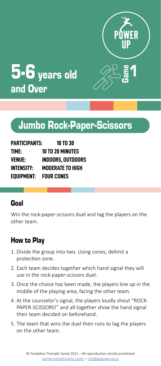



# 5-6 years old and Over

# Jumbo Rock-Paper-Scissors

| PARTICIPANTS:     | <b>10 TO 30</b>          |
|-------------------|--------------------------|
| TIME:             | <b>10 TO 20 MINUTES</b>  |
| VENUE:            | <b>INDOORS, OUTDOORS</b> |
| <b>INTENSITY:</b> | <b>MODERATE TO HIGH</b>  |
| EQUIPMENT:        | <b>FOUR CONES</b>        |

# Goal

Win the rock-paper-scissors duel and tag the players on the other team.

- 1. Divide the group into two. Using cones, delimit a protection zone.
- 2. Each team decides together which hand signal they will use in the rock-paper-scissors duel.
- 3. Once the choice has been made, the players line up in the middle of the playing area, facing the other team.
- 4. At the counselor's signal, the players loudly shout "ROCK-PAPER-SCISSORS!" and all together show the hand signal their team decided on beforehand.
- 5. The team that wins the duel then runs to tag the players on the other team.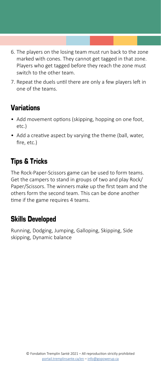- 6. The players on the losing team must run back to the zone marked with cones. They cannot get tagged in that zone. Players who get tagged before they reach the zone must switch to the other team.
- 7. Repeat the duels until there are only a few players left in one of the teams.

- Add movement options (skipping, hopping on one foot, etc.)
- Add a creative aspect by varying the theme (ball, water, fire, etc.)

# Tips & Tricks

The Rock-Paper-Scissors game can be used to form teams. Get the campers to stand in groups of two and play Rock/ Paper/Scissors. The winners make up the first team and the others form the second team. This can be done another time if the game requires 4 teams.

# Skills Developed

Running, Dodging, Jumping, Galloping, Skipping, Side skipping, Dynamic balance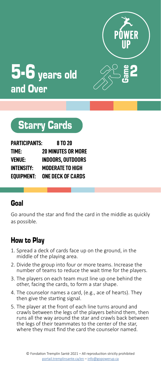

Game

2



# 5-6 years old and Over

# Starry Cards

| <b>PARTICIPANTS:</b> | 8 TO 20                   |
|----------------------|---------------------------|
| TIME:                | <b>20 MINUTES OR MORE</b> |
| VENUE:               | INDOORS. OUTDOORS         |
| <b>INTENSITY:</b>    | <b>MODERATE TO HIGH</b>   |
| EQUIPMENT:           | <b>ONE DECK OF CARDS</b>  |

# Goal

Go around the star and find the card in the middle as quickly as possible.

- 1. Spread a deck of cards face up on the ground, in the middle of the playing area.
- 2. Divide the group into four or more teams. Increase the number of teams to reduce the wait time for the players.
- 3. The players on each team must line up one behind the other, facing the cards, to form a star shape.
- 4. The counselor names a card, (e.g., ace of hearts). They then give the starting signal.
- 5. The player at the front of each line turns around and crawls between the legs of the players behind them, then runs all the way around the star and crawls back between the legs of their teammates to the center of the star, where they must find the card the counselor named.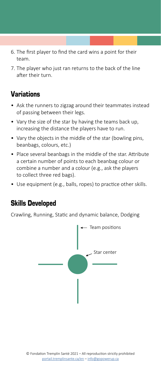- 6. The first player to find the card wins a point for their team.
- 7. The player who just ran returns to the back of the line after their turn.

- Ask the runners to zigzag around their teammates instead of passing between their legs.
- Vary the size of the star by having the teams back up, increasing the distance the players have to run.
- Vary the objects in the middle of the star (bowling pins, beanbags, colours, etc.)
- Place several beanbags in the middle of the star. Attribute a certain number of points to each beanbag colour or combine a number and a colour (e.g., ask the players to collect three red bags).
- Use equipment (e.g., balls, ropes) to practice other skills.

# Skills Developed

Crawling, Running, Static and dynamic balance, Dodging

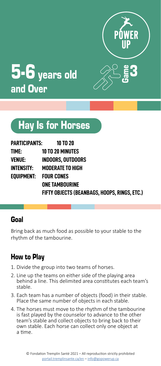

Game



# Hay Is for Horses

| PARTICIPANTS:         | 10 TO 20                                     |
|-----------------------|----------------------------------------------|
| time:                 | <b>10 TO 20 MINUTES</b>                      |
| VENUE:                | <b>INDOORS. OUTDOORS</b>                     |
| INTENSITY:            | <b>MODERATE TO HIGH</b>                      |
| EOUIPMENT: FOUR CONES |                                              |
|                       | <b>ONE TAMBOURINE</b>                        |
|                       | FIFTY OBJECTS (BEANBAGS, HOOPS, RINGS, ETC.) |

# Goal

Bring back as much food as possible to your stable to the rhythm of the tambourine.

- 1. Divide the group into two teams of horses.
- 2. Line up the teams on either side of the playing area behind a line. This delimited area constitutes each team's stable.
- 3. Each team has a number of objects (food) in their stable. Place the same number of objects in each stable.
- 4. The horses must move to the rhythm of the tambourine is fast played by the counselor to advance to the other team's stable and collect objects to bring back to their own stable. Each horse can collect only one object at a time.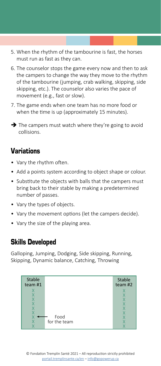- 5. When the rhythm of the tambourine is fast, the horses must run as fast as they can.
- 6. The counselor stops the game every now and then to ask the campers to change the way they move to the rhythm of the tambourine (jumping, crab walking, skipping, side skipping, etc.). The counselor also varies the pace of movement (e.g., fast or slow).
- 7. The game ends when one team has no more food or when the time is up (approximately 15 minutes).
- $\rightarrow$  The campers must watch where they're going to avoid collisions.

- Vary the rhythm often.
- Add a points system according to object shape or colour.
- Substitute the objects with balls that the campers must bring back to their stable by making a predetermined number of passes.
- Vary the types of objects.
- Vary the movement options (let the campers decide).
- Vary the size of the playing area.

#### Skills Developed

Galloping, Jumping, Dodging, Side skipping, Running, Skipping, Dynamic balance, Catching, Throwing

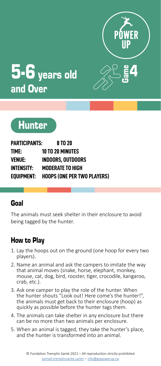



# $5-6$  years old and Over

# **Hunter**

| <b>PARTICIPANTS:</b> | 8 TO 20                                       |
|----------------------|-----------------------------------------------|
| TIME:                | <b>10 TO 20 MINUTES</b>                       |
| VENUE:               | <b>INDOORS, OUTDOORS</b>                      |
| <b>INTENSITY:</b>    | <b>MODERATE TO HIGH</b>                       |
|                      | <b>EQUIPMENT: HOOPS (ONE PER TWO PLAYERS)</b> |

# Goal

The animals must seek shelter in their enclosure to avoid being tagged by the hunter.

- 1. Lay the hoops out on the ground (one hoop for every two players).
- 2. Name an animal and ask the campers to imitate the way that animal moves (snake, horse, elephant, monkey, mouse, cat, dog, bird, rooster, tiger, crocodile, kangaroo, crab, etc.).
- 3. Ask one camper to play the role of the hunter. When the hunter shouts "Look out! Here come's the hunter!", the animals must get back to their enclosure (hoop) as quickly as possible before the hunter tags them.
- 4. The animals can take shelter in any enclosure but there can be no more than two animals per enclosure.
- 5. When an animal is tagged, they take the hunter's place, and the hunter is transformed into an animal.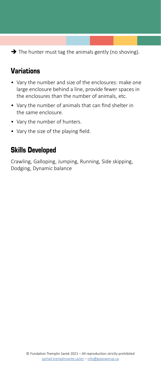$\rightarrow$  The hunter must tag the animals gently (no shoving).

# Variations

- Vary the number and size of the enclosures: make one large enclosure behind a line, provide fewer spaces in the enclosures than the number of animals, etc.
- Vary the number of animals that can find shelter in the same enclosure.
- Vary the number of hunters.
- Vary the size of the playing field.

#### Skills Developed

Crawling, Galloping, Jumping, Running, Side skipping, Dodging, Dynamic balance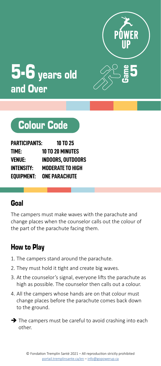



# Colour Code

| <b>PARTICIPANTS:</b> | <b>10 TO 25</b>          |
|----------------------|--------------------------|
| TIME:                | <b>10 TO 20 MINUTES</b>  |
| <b>VENUE:</b>        | <b>INDOORS, OUTDOORS</b> |
| <b>INTENSITY:</b>    | <b>MODERATE TO HIGH</b>  |
| EQUIPMENT:           | <b>ONE PARACHUTE</b>     |

# Goal

The campers must make waves with the parachute and change places when the counselor calls out the colour of the part of the parachute facing them.

- 1. The campers stand around the parachute.
- 2. They must hold it tight and create big waves.
- 3. At the counselor's signal, everyone lifts the parachute as high as possible. The counselor then calls out a colour.
- 4. All the campers whose hands are on that colour must change places before the parachute comes back down to the ground.
- $\rightarrow$  The campers must be careful to avoid crashing into each other.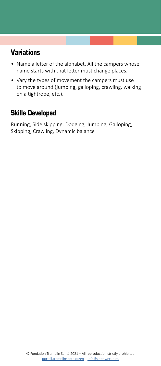- Name a letter of the alphabet. All the campers whose name starts with that letter must change places.
- Vary the types of movement the campers must use to move around (jumping, galloping, crawling, walking on a tightrope, etc.).

# Skills Developed

Running, Side skipping, Dodging, Jumping, Galloping, Skipping, Crawling, Dynamic balance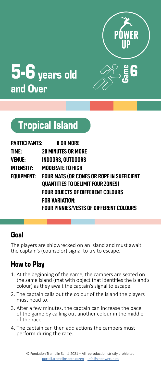



# Tropical Island

| PARTICIPANTS:     | 8 OR MORE                                        |
|-------------------|--------------------------------------------------|
| time:             | <b>20 MINUTES OR MORE</b>                        |
| VENUE:            | <b>INDOORS, OUTDOORS</b>                         |
| <b>INTENSITY:</b> | <b>MODERATE TO HIGH</b>                          |
| EOUIPMENT:        | <b>FOUR MATS (OR CONES OR ROPE IN SUFFICIENT</b> |
|                   | <b>OUANTITIES TO DELIMIT FOUR ZONES)</b>         |
|                   | <b>FOUR OBJECTS OF DIFFERENT COLOURS</b>         |
|                   | FOR VARIATION:                                   |
|                   | FOUR PINNIES/VESTS OF DIFFERENT COLOURS          |

# Goal

The players are shipwrecked on an island and must await the captain's (counselor) signal to try to escape.

- 1. At the beginning of the game, the campers are seated on the same island (mat with object that identifies the island's colour) as they await the captain's signal to escape.
- 2. The captain calls out the colour of the island the players must head to.
- 3. After a few minutes, the captain can increase the pace of the game by calling out another colour in the middle of the race.
- 4. The captain can then add actions the campers must perform during the race.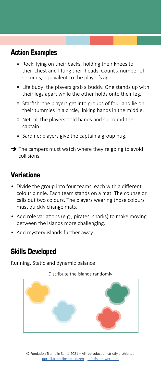# Action Examples

- ͫ Rock: lying on their backs, holding their knees to their chest and lifting their heads. Count x number of seconds, equivalent to the player's age.
- ͫ Life buoy: the players grab a buddy. One stands up with their legs apart while the other holds onto their leg.
- ͫ Starfish: the players get into groups of four and lie on their tummies in a circle, linking hands in the middle.
- ͫ Net: all the players hold hands and surround the captain.
- ͫ Sardine: players give the captain a group hug.
- $\rightarrow$  The campers must watch where they're going to avoid collisions.

# Variations

- Divide the group into four teams, each with a different colour pinnie. Each team stands on a mat. The counselor calls out two colours. The players wearing those colours must quickly change mats.
- Add role variations (e.g., pirates, sharks) to make moving between the islands more challenging.
- Add mystery islands further away.

# Skills Developed

Running, Static and dynamic balance

Distribute the islands randomly

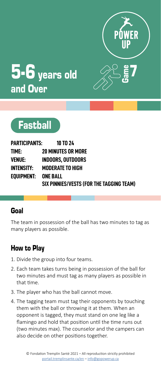



# $5-6$  years old and Over



| PARTICIPANTS:       | <b>10 TO 24</b>                          |
|---------------------|------------------------------------------|
| time:               | <b>20 MINUTES OR MORE</b>                |
| <b>VENUE:</b>       | <b>INDOORS. OUTDOORS</b>                 |
| INTENSITY:          | <b>MODERATE TO HIGH</b>                  |
| EOUIPMENT: ONE BALL |                                          |
|                     | SIX PINNIES/VESTS (FOR THE TAGGING TEAM) |

# Goal

The team in possession of the ball has two minutes to tag as many players as possible.

- 1. Divide the group into four teams.
- 2. Each team takes turns being in possession of the ball for two minutes and must tag as many players as possible in that time.
- 3. The player who has the ball cannot move.
- 4. The tagging team must tag their opponents by touching them with the ball or throwing it at them. When an opponent is tagged, they must stand on one leg like a flamingo and hold that position until the time runs out (two minutes max). The counselor and the campers can also decide on other positions together.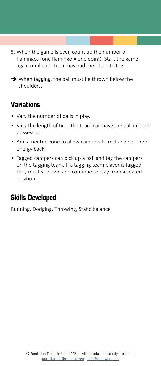- 5. When the game is over, count up the number of flamingos (one flamingo = one point). Start the game again until each team has had their turn to tag.
- $\rightarrow$  When tagging, the ball must be thrown below the shoulders.

- Vary the number of balls in play.
- Vary the length of time the team can have the ball in their possession.
- Add a neutral zone to allow campers to rest and get their energy back.
- Tagged campers can pick up a ball and tag the campers on the tagging team. If a tagging team player is tagged, they must sit down and continue to play from a seated position.

# Skills Developed

Running, Dodging, Throwing, Static balance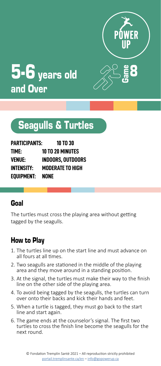

Game



# Seagulls & Turtles

| <b>PARTICIPANTS:</b> | <b>10 TO 30</b>         |
|----------------------|-------------------------|
| TIME:                | <b>10 TO 20 MINUTES</b> |
| VENUE:               | INDOORS. OUTDOORS       |
| <b>INTENSITY:</b>    | <b>MODERATE TO HIGH</b> |
| EQUIPMENT:           | NONE                    |

#### Goal

The turtles must cross the playing area without getting tagged by the seagulls.

- 1. The turtles line up on the start line and must advance on all fours at all times.
- 2. Two seagulls are stationed in the middle of the playing area and they move around in a standing position.
- 3. At the signal, the turtles must make their way to the finish line on the other side of the playing area.
- 4. To avoid being tagged by the seagulls, the turtles can turn over onto their backs and kick their hands and feet.
- 5. When a turtle is tagged, they must go back to the start line and start again.
- 6. The game ends at the counselor's signal. The first two turtles to cross the finish line become the seagulls for the next round.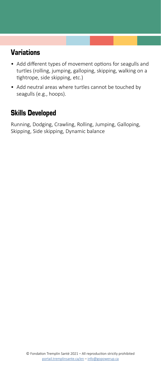- Add different types of movement options for seagulls and turtles (rolling, jumping, galloping, skipping, walking on a tightrope, side skipping, etc.)
- Add neutral areas where turtles cannot be touched by seagulls (e.g., hoops).

# Skills Developed

Running, Dodging, Crawling, Rolling, Jumping, Galloping, Skipping, Side skipping, Dynamic balance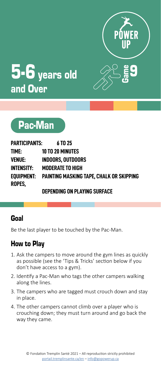



# 5-6 years old and Over



| PARTICIPANTS: | 6 TO 25                                             |
|---------------|-----------------------------------------------------|
| time:         | <b>10 TO 20 MINUTES</b>                             |
| VENUE:        | <b>INDOORS. OUTDOORS</b>                            |
| INTENSITY:    | <b>MODERATE TO HIGH</b>                             |
| ROPES,        | EOUIPMENT: PAINTING MASKING TAPE. CHALK OR SKIPPING |

#### **DEPENDING ON PLAYING SURFACE**

# Goal

Be the last player to be touched by the Pac-Man.

- 1. Ask the campers to move around the gym lines as quickly as possible (see the 'Tips & Tricks' section below if you don't have access to a gym).
- 2. Identify a Pac-Man who tags the other campers walking along the lines.
- 3. The campers who are tagged must crouch down and stay in place.
- 4. The other campers cannot climb over a player who is crouching down; they must turn around and go back the way they came.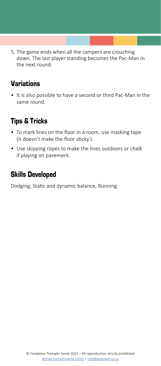5. The game ends when all the campers are crouching down. The last player standing becomes the Pac-Man in the next round.

# Variations

• It is also possible to have a second or third Pac-Man in the same round.

# Tips & Tricks

- To mark lines on the floor in a room, use masking tape (it doesn't make the floor sticky.).
- Use skipping ropes to make the lines outdoors or chalk if playing on pavement.

# Skills Developed

Dodging, Static and dynamic balance, Running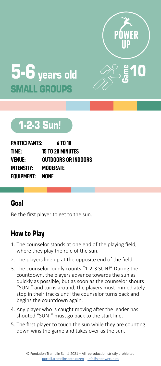



# 1-2-3 Sun!

| PARTICIPANTS:     | 6 TO 10                 |
|-------------------|-------------------------|
| TIME:             | <b>15 TO 20 MINUTES</b> |
| VENUE:            | OUTDOORS OR INDOORS     |
| <b>INTENSITY:</b> | MODERATE                |
| EOUIPMENT:        | <b>NONE</b>             |

#### Goal

Be the first player to get to the sun.

- 1. The counselor stands at one end of the playing field, where they play the role of the sun.
- 2. The players line up at the opposite end of the field.
- 3. The counselor loudly counts "1-2-3 SUN!" During the countdown, the players advance towards the sun as quickly as possible, but as soon as the counselor shouts "SUN!" and turns around, the players must immediately stop in their tracks until the counselor turns back and begins the countdown again.
- 4. Any player who is caught moving after the leader has shouted "SUN!" must go back to the start line.
- 5. The first player to touch the sun while they are counting down wins the game and takes over as the sun.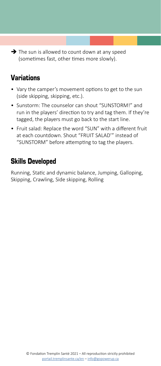$\rightarrow$  The sun is allowed to count down at any speed (sometimes fast, other times more slowly).

# Variations

- Vary the camper's movement options to get to the sun (side skipping, skipping, etc.).
- Sunstorm: The counselor can shout "SUNSTORM!" and run in the players' direction to try and tag them. If they're tagged, the players must go back to the start line.
- Fruit salad: Replace the word "SUN" with a different fruit at each countdown. Shout "FRUIT SALAD'" instead of "SUNSTORM" before attempting to tag the players.

# Skills Developed

Running, Static and dynamic balance, Jumping, Galloping, Skipping, Crawling, Side skipping, Rolling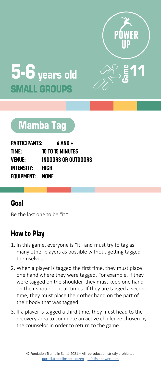



# Mamba Tag

| <b>PARTICIPANTS:</b> | 6 AND +                    |
|----------------------|----------------------------|
| TIME:                | <b>10 TO 15 MINUTES</b>    |
| <b>VENUE:</b>        | <b>INDOORS OR OUTDOORS</b> |
| <b>INTENSITY:</b>    | HIGH                       |
| EOUIPMENT:           | NONE                       |

#### Goal

Be the last one to be "it."

- 1. In this game, everyone is "it" and must try to tag as many other players as possible without getting tagged themselves.
- 2. When a player is tagged the first time, they must place one hand where they were tagged. For example, if they were tagged on the shoulder, they must keep one hand on their shoulder at all times. If they are tagged a second time, they must place their other hand on the part of their body that was tagged.
- 3. If a player is tagged a third time, they must head to the recovery area to complete an active challenge chosen by the counselor in order to return to the game.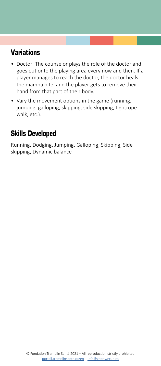- Doctor: The counselor plays the role of the doctor and goes out onto the playing area every now and then. If a player manages to reach the doctor, the doctor heals the mamba bite, and the player gets to remove their hand from that part of their body.
- Vary the movement options in the game (running, jumping, galloping, skipping, side skipping, tightrope walk, etc.).

# Skills Developed

Running, Dodging, Jumping, Galloping, Skipping, Side skipping, Dynamic balance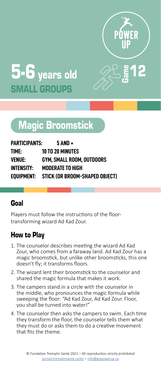

<u>2</u>



# Magic Broomstick

| PARTICIPANTS:     | 5 AND +                                   |
|-------------------|-------------------------------------------|
| TIME:             | <b>10 TO 20 MINUTES</b>                   |
| VENUE:            | GYM. SMALL ROOM. OUTDOORS                 |
| <b>INTENSITY:</b> | <b>MODERATE TO HIGH</b>                   |
|                   | EQUIPMENT: STICK (OR BROOM-SHAPED OBJECT) |

# Goal

Players must follow the instructions of the floortransforming wizard Ad Kad Zour.

- 1. The counselor describes meeting the wizard Ad Kad Zour, who comes from a faraway land. Ad Kad Zour has a magic broomstick, but unlike other broomsticks, this one doesn't fly; it transforms floors.
- 2. The wizard lent their broomstick to the counselor and shared the magic formula that makes it work.
- 3. The campers stand in a circle with the counselor in the middle, who pronounces the magic formula while sweeping the floor: "Ad Kad Zour, Ad Kad Zour. Floor, you shall be turned into water!"
- 4. The counselor then asks the campers to swim. Each time they transform the floor, the counselor tells them what they must do or asks them to do a creative movement that fits the theme.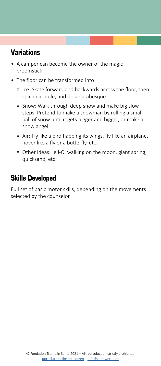- A camper can become the owner of the magic broomstick.
- The floor can be transformed into:
	- ͫ Ice: Skate forward and backwards across the floor, then spin in a circle, and do an arabesque.
	- ͫ Snow: Walk through deep snow and make big slow steps. Pretend to make a snowman by rolling a small ball of snow until it gets bigger and bigger, or make a snow angel.
	- ͫ Air: Fly like a bird flapping its wings, fly like an airplane, hover like a fly or a butterfly, etc.
	- ͫ Other ideas: Jell-O, walking on the moon, giant spring, quicksand, etc.

# Skills Developed

Full set of basic motor skills, depending on the movements selected by the counselor.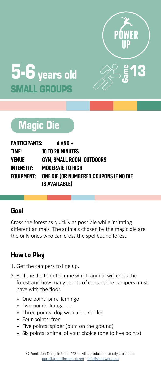

 $\bf{3}$ 



# Magic Die

| PARTICIPANTS:     | 6 AND +                                |
|-------------------|----------------------------------------|
| TIME:             | <b>10 TO 20 MINUTES</b>                |
| <b>VENUE:</b>     | GYM. SMALL ROOM. OUTDOORS              |
| <b>INTENSITY:</b> | <b>MODERATE TO HIGH</b>                |
| EOUIPMENT:        | ONE DIE (OR NUMBERED COUPONS IF NO DIE |
|                   | <b>IS AVAILABLE)</b>                   |

# Goal

Cross the forest as quickly as possible while imitating different animals. The animals chosen by the magic die are the only ones who can cross the spellbound forest.

- 1. Get the campers to line up.
- 2. Roll the die to determine which animal will cross the forest and how many points of contact the campers must have with the floor.
	- » One point: pink flamingo
	- » Two points: kangaroo
	- » Three points: dog with a broken leg
	- » Four points: frog
	- » Five points: spider (bum on the ground)
	- » Six points: animal of your choice (one to five points)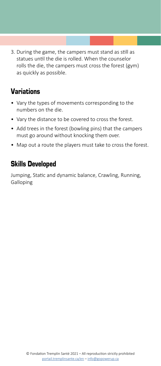3. During the game, the campers must stand as still as statues until the die is rolled. When the counselor rolls the die, the campers must cross the forest (gym) as quickly as possible.

# Variations

- Vary the types of movements corresponding to the numbers on the die.
- Vary the distance to be covered to cross the forest.
- Add trees in the forest (bowling pins) that the campers must go around without knocking them over.
- Map out a route the players must take to cross the forest.

# Skills Developed

Jumping, Static and dynamic balance, Crawling, Running, Galloping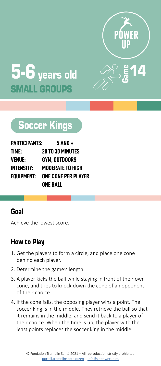



# occer Kings

| <b>PARTICIPANTS:</b> | 5 AND +                    |
|----------------------|----------------------------|
| TIME:                | <b>20 TO 30 MINUTES</b>    |
| <b>VENUE:</b>        | <b>GYM. OUTDOORS</b>       |
| <b>INTENSITY:</b>    | MODERATE TO HIGH           |
| EOUIPMENT:           | <b>ONE CONE PER PLAYER</b> |
|                      | ONE BALL                   |

#### Goal

Achieve the lowest score.

- 1. Get the players to form a circle, and place one cone behind each player.
- 2. Determine the game's length.
- 3. A player kicks the ball while staying in front of their own cone, and tries to knock down the cone of an opponent of their choice.
- 4. If the cone falls, the opposing player wins a point. The soccer king is in the middle. They retrieve the ball so that it remains in the middle, and send it back to a player of their choice. When the time is up, the player with the least points replaces the soccer king in the middle.